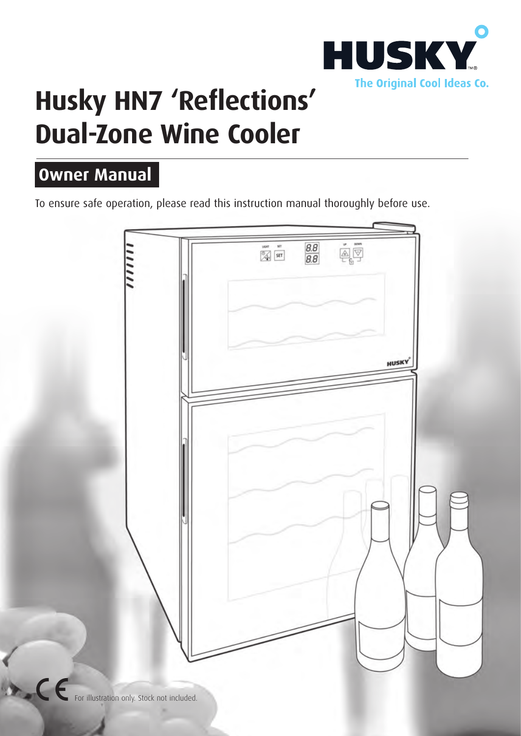

# **Husky HN7 'Reflections' Dual-Zone Wine Cooler**

## **Owner Manual**

To ensure safe operation, please read this instruction manual thoroughly before use.



For illustration only. Stock not included.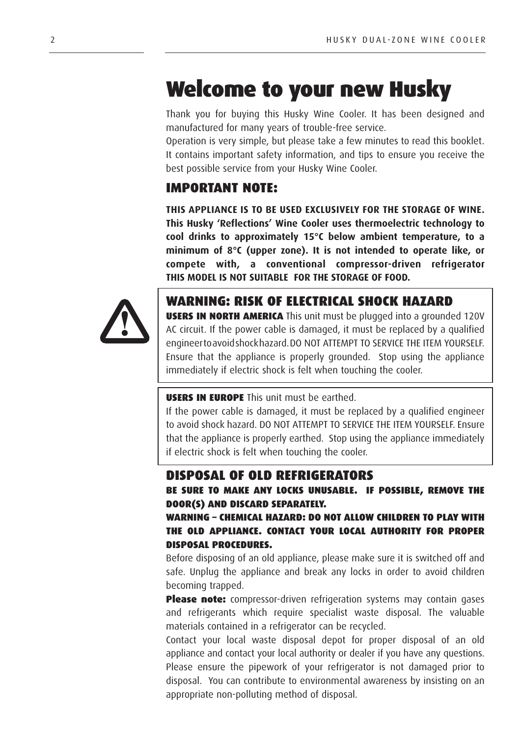## Welcome to your new Husky

Thank you for buying this Husky Wine Cooler. It has been designed and manufactured for many years of trouble-free service.

Operation is very simple, but please take a few minutes to read this booklet. It contains important safety information, and tips to ensure you receive the best possible service from your Husky Wine Cooler.

#### IMPORTANT NOTE:

**THIS APPLIANCE IS TO BE USED EXCLUSIVELY FOR THE STORAGE OF WINE. This Husky 'Reflections' Wine Cooler uses thermoelectric technology to cool drinks to approximately 15°C below ambient temperature, to a minimum of 8°C (upper zone). It is not intended to operate like, or compete with, a conventional compressor-driven refrigerator THIS MODEL IS NOT SUITABLE FOR THE STORAGE OF FOOD.**



### WARNING: RISK OF ELECTRICAL SHOCK HAZARD

**USERS IN NORTH AMERICA** This unit must be plugged into a grounded 120V AC circuit. If the power cable is damaged, it must be replaced by a qualified engineer to avoid shock hazard. DO NOT ATTEMPT TO SERVICE THE ITEM YOURSELF. Ensure that the appliance is properly grounded. Stop using the appliance immediately if electric shock is felt when touching the cooler.

#### USERS IN EUROPE This unit must be earthed.

If the power cable is damaged, it must be replaced by a qualified engineer to avoid shock hazard. DO NOT ATTEMPT TO SERVICE THE ITEM YOURSELF. Ensure that the appliance is properly earthed. Stop using the appliance immediately if electric shock is felt when touching the cooler.

#### DISPOSAL OF OLD REFRIGERATORS

BE SURE TO MAKE ANY LOCKS UNUSABLE. IF POSSIBLE, REMOVE THE DOOR(S) AND DISCARD SEPARATELY.

#### WARNING – CHEMICAL HAZARD: DO NOT ALLOW CHILDREN TO PLAY WITH THE OLD APPLIANCE. CONTACT YOUR LOCAL AUTHORITY FOR PROPER DISPOSAL PROCEDURES.

Before disposing of an old appliance, please make sure it is switched off and safe. Unplug the appliance and break any locks in order to avoid children becoming trapped.

Please note: compressor-driven refrigeration systems may contain gases and refrigerants which require specialist waste disposal. The valuable materials contained in a refrigerator can be recycled.

Contact your local waste disposal depot for proper disposal of an old appliance and contact your local authority or dealer if you have any questions. Please ensure the pipework of your refrigerator is not damaged prior to disposal. You can contribute to environmental awareness by insisting on an appropriate non-polluting method of disposal.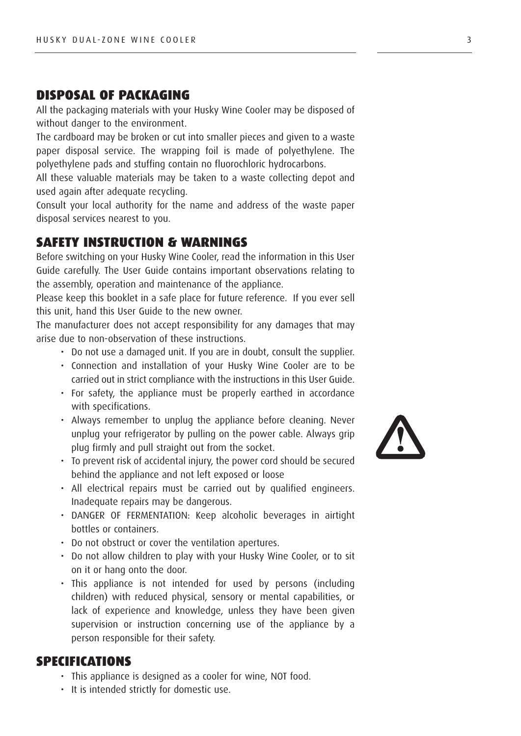#### DISPOSAL OF PACKAGING

All the packaging materials with your Husky Wine Cooler may be disposed of without danger to the environment.

The cardboard may be broken or cut into smaller pieces and given to a waste paper disposal service. The wrapping foil is made of polyethylene. The polyethylene pads and stuffing contain no fluorochloric hydrocarbons.

All these valuable materials may be taken to a waste collecting depot and used again after adequate recycling.

Consult your local authority for the name and address of the waste paper disposal services nearest to you.

#### SAFETY INSTRUCTION & WARNINGS

Before switching on your Husky Wine Cooler, read the information in this User Guide carefully. The User Guide contains important observations relating to the assembly, operation and maintenance of the appliance.

Please keep this booklet in a safe place for future reference. If you ever sell this unit, hand this User Guide to the new owner.

The manufacturer does not accept responsibility for any damages that may arise due to non-observation of these instructions.

- Do not use a damaged unit. If you are in doubt, consult the supplier.
- Connection and installation of your Husky Wine Cooler are to be carried out in strict compliance with the instructions in this User Guide.
- For safety, the appliance must be properly earthed in accordance with specifications.
- Always remember to unplug the appliance before cleaning. Never unplug your refrigerator by pulling on the power cable. Always grip plug firmly and pull straight out from the socket.
- To prevent risk of accidental injury, the power cord should be secured behind the appliance and not left exposed or loose
- All electrical repairs must be carried out by qualified engineers. Inadequate repairs may be dangerous.
- DANGER OF FERMENTATION: Keep alcoholic beverages in airtight bottles or containers.
- Do not obstruct or cover the ventilation apertures.
- Do not allow children to play with your Husky Wine Cooler, or to sit on it or hang onto the door.
- This appliance is not intended for used by persons (including children) with reduced physical, sensory or mental capabilities, or lack of experience and knowledge, unless they have been given supervision or instruction concerning use of the appliance by a person responsible for their safety.

#### SPECIFICATIONS

- This appliance is designed as a cooler for wine, NOT food.
- It is intended strictly for domestic use.

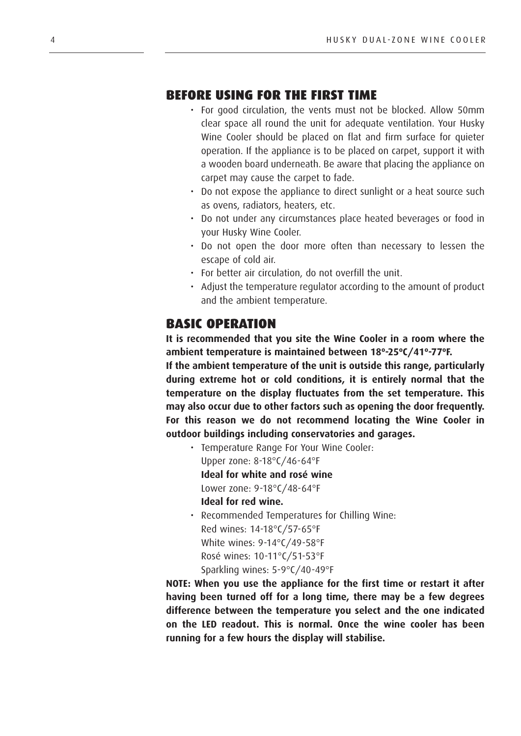#### BEFORE USING FOR THE FIRST TIME

- For good circulation, the vents must not be blocked. Allow 50mm clear space all round the unit for adequate ventilation. Your Husky Wine Cooler should be placed on flat and firm surface for quieter operation. If the appliance is to be placed on carpet, support it with a wooden board underneath. Be aware that placing the appliance on carpet may cause the carpet to fade.
- Do not expose the appliance to direct sunlight or a heat source such as ovens, radiators, heaters, etc.
- Do not under any circumstances place heated beverages or food in your Husky Wine Cooler.
- Do not open the door more often than necessary to lessen the escape of cold air.
- For better air circulation, do not overfill the unit.
- Adjust the temperature regulator according to the amount of product and the ambient temperature.

#### BASIC OPERATION

**It is recommended that you site the Wine Cooler in a room where the ambient temperature is maintained between 18º-25ºC/41º-77ºF.**

**If the ambient temperature of the unit is outside this range, particularly during extreme hot or cold conditions, it is entirely normal that the temperature on the display fluctuates from the set temperature. This may also occur due to other factors such as opening the door frequently. For this reason we do not recommend locating the Wine Cooler in outdoor buildings including conservatories and garages.**

- Temperature Range For Your Wine Cooler: Upper zone: 8-18°C/46-64°F **Ideal for white and rosé wine** Lower zone: 9-18°C/48-64°F **Ideal for red wine.**
- Recommended Temperatures for Chilling Wine: Red wines: 14-18°C/57-65°F White wines: 9-14°C/49-58°F Rosé wines: 10-11°C/51-53°F Sparkling wines: 5-9°C/40-49°F

**NOTE: When you use the appliance for the first time or restart it after having been turned off for a long time, there may be a few degrees difference between the temperature you select and the one indicated on the LED readout. This is normal. Once the wine cooler has been running for a few hours the display will stabilise.**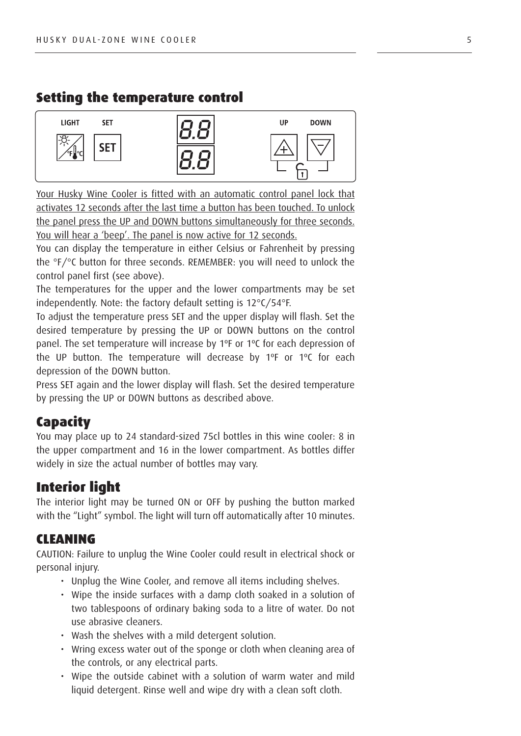#### Setting the temperature control



Your Husky Wine Cooler is fitted with an automatic control panel lock that activates 12 seconds after the last time a button has been touched. To unlock the panel press the UP and DOWN buttons simultaneously for three seconds. You will hear a 'beep'. The panel is now active for 12 seconds.

You can display the temperature in either Celsius or Fahrenheit by pressing the °F/°C button for three seconds. REMEMBER: you will need to unlock the control panel first (see above).

The temperatures for the upper and the lower compartments may be set independently. Note: the factory default setting is 12°C/54°F.

To adjust the temperature press SET and the upper display will flash. Set the desired temperature by pressing the UP or DOWN buttons on the control panel. The set temperature will increase by 1ºF or 1ºC for each depression of the UP button. The temperature will decrease by 1ºF or 1ºC for each depression of the DOWN button.

Press SET again and the lower display will flash. Set the desired temperature by pressing the UP or DOWN buttons as described above.

#### **Capacity**

You may place up to 24 standard-sized 75cl bottles in this wine cooler: 8 in the upper compartment and 16 in the lower compartment. As bottles differ widely in size the actual number of bottles may vary.

#### Interior light

The interior light may be turned ON or OFF by pushing the button marked with the "Light" symbol. The light will turn off automatically after 10 minutes.

#### CLEANING

CAUTION: Failure to unplug the Wine Cooler could result in electrical shock or personal injury.

- Unplug the Wine Cooler, and remove all items including shelves.
- Wipe the inside surfaces with a damp cloth soaked in a solution of two tablespoons of ordinary baking soda to a litre of water. Do not use abrasive cleaners.
- Wash the shelves with a mild detergent solution.
- Wring excess water out of the sponge or cloth when cleaning area of the controls, or any electrical parts.
- Wipe the outside cabinet with a solution of warm water and mild liquid detergent. Rinse well and wipe dry with a clean soft cloth.